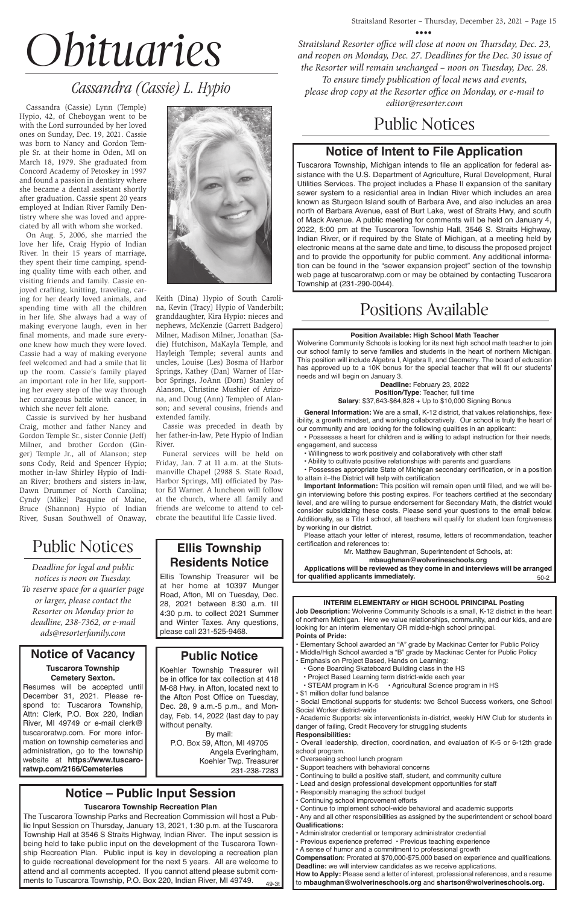#### **Position Available: High School Math Teacher**

Wolverine Community Schools is looking for its next high school math teacher to join our school family to serve families and students in the heart of northern Michigan. This position will include Algebra I, Algebra II, and Geometry. The board of education has approved up to a 10K bonus for the special teacher that will fit our students' needs and will begin on January 3.

**Deadline:** February 23, 2022 **Position/Type**: Teacher, full time **Salary**: \$37,643-\$64,828 + Up to \$10,000 Signing Bonus

**General Information:** We are a small, K-12 district, that values relationships, flexibility, a growth mindset, and working collaboratively. Our school is truly the heart of our community and are looking for the following qualities in an applicant:

• Possesses a heart for children and is willing to adapt instruction for their needs, engagement, and success

**Applications will be reviewed as they come in and interviews will be arranged for qualified applicants immediately. EXEC 20 10 12 13 14 15 16 16 17 18 18 19 19 19 19 19 19 19 19 19 19 19 1** 

- Willingness to work positively and collaboratively with other staff
- Ability to cultivate positive relationships with parents and guardians

• Possesses appropriate State of Michigan secondary certification, or in a position to attain it–the District will help with certification

 • STEAM program in K-5 • Agricultural Science program in HS \$1 million dollar fund balance

**Important Information:** This position will remain open until filled, and we will begin interviewing before this posting expires. For teachers certified at the secondary level, and are willing to pursue endorsement for Secondary Math, the district would consider subsidizing these costs. Please send your questions to the email below. Additionally, as a Title I school, all teachers will qualify for student loan forgiveness by working in our district.

Please attach your letter of interest, resume, letters of recommendation, teacher certification and references to:

Mr. Matthew Baughman, Superintendent of Schools, at:

**mbaughman@wolverineschools.org**



**Job Description:** Wolverine Community Schools is a small, K-12 district in the heart of northern Michigan. Here we value relationships, community, and our kids, and are looking for an interim elementary OR middle-high school principal. **Points of Pride:**

• Elementary School awarded an "A" grade by Mackinac Center for Public Policy

The Tuscarora Township Parks and Recreation Commission will host a Public Input Session on Thursday, January 13, 2021, 1:30 p.m. at the Tuscarora Township Hall at 3546 S Straits Highway, Indian River. The input session is being held to take public input on the development of the Tuscarora Township Recreation Plan. Public input is key in developing a recreation plan to guide recreational development for the next 5 years. All are welcome to attend and all comments accepted. If you cannot attend please submit comments to Tuscarora Township, P.O. Box 220, Indian River, MI 49749. 49-3t

- Middle/High School awarded a "B" grade by Mackinac Center for Public Policy
- Emphasis on Project Based, Hands on Learning:
	- Gone Boarding Skateboard Building class in the HS
	- Project Based Learning term district-wide each year
	-

• Social Emotional supports for students: two School Success workers, one School Social Worker district-wide

• Academic Supports: six interventionists in-district, weekly H/W Club for students in danger of failing, Credit Recovery for struggling students

#### **Responsibilities:**

• Overall leadership, direction, coordination, and evaluation of K-5 or 6-12th grade school program.

• Overseeing school lunch program

• Support teachers with behavioral concerns

- Continuing to build a positive staff, student, and community culture
- Lead and design professional development opportunities for staff
- Responsibly managing the school budget
- Continuing school improvement efforts
- Continue to implement school-wide behavioral and academic supports
- Any and all other responsibilities as assigned by the superintendent or school board **Qualifications:**
- Administrator credential or temporary administrator credential
- Previous experience preferred Previous teaching experience
- A sense of humor and a commitment to professional growth

**Compensation**: Prorated at \$70,000-\$75,000 based on experience and qualifications. **Deadline:** we will interview candidates as we receive applications.

**How to Apply:** Please send a letter of interest, professional references, and a resume to **mbaughman@wolverineschools.org** and **shartson@wolverineschools.org.** 

# Positions Available

**Ellis Township Residents Notice** Ellis Township Treasurer will be at her home at 10397 Munger Road, Afton, MI on Tuesday, Dec. 28, 2021 between 8:30 a.m. till 4:30 p.m. to collect 2021 Summer and Winter Taxes. Any questions,

please call 231-525-9468.

**Public Notice** Koehler Township Treasurer will be in office for tax collection at 418

M-68 Hwy. in Afton, located next to the Afton Post Office on Tuesday, Dec. 28, 9 a.m.-5 p.m., and Monday, Feb. 14, 2022 (last day to pay without penalty.

By mail: P.O. Box 59, Afton, MI 49705 Angela Everingham, Koehler Twp. Treasurer 231-238-7283

### **Notice – Public Input Session**

#### **Tuscarora Township Recreation Plan**

## Public Notices

#### **Notice of Vacancy**

**Tuscarora Township Cemetery Sexton.** Resumes will be accepted until December 31, 2021. Please respond to: Tuscarora Township, Attn: Clerk, P.O. Box 220, Indian River, MI 49749 or e-mail clerk@ tuscaroratwp.com. For more information on township cemeteries and administration, go to the township website at **https://www.tuscaroratwp.com/2166/Cemeteries**



## **Notice of Intent to File Application**

Tuscarora Township, Michigan intends to file an application for federal assistance with the U.S. Department of Agriculture, Rural Development, Rural Utilities Services. The project includes a Phase II expansion of the sanitary sewer system to a residential area in Indian River which includes an area known as Sturgeon Island south of Barbara Ave, and also includes an area north of Barbara Avenue, east of Burt Lake, west of Straits Hwy, and south of Mack Avenue. A public meeting for comments will be held on January 4, 2022, 5:00 pm at the Tuscarora Township Hall, 3546 S. Straits Highway, Indian River, or if required by the State of Michigan, at a meeting held by electronic means at the same date and time, to discuss the proposed project and to provide the opportunity for public comment. Any additional information can be found in the "sewer expansion project" section of the township web page at tuscaroratwp.com or may be obtained by contacting Tuscarora Township at (231-290-0044).

# *Obituaries*

Cassandra (Cassie) Lynn (Temple) Hypio, 42, of Cheboygan went to be with the Lord surrounded by her loved ones on Sunday, Dec. 19, 2021. Cassie was born to Nancy and Gordon Temple Sr. at their home in Oden, MI on March 18, 1979. She graduated from Concord Academy of Petoskey in 1997 and found a passion in dentistry where she became a dental assistant shortly after graduation. Cassie spent 20 years employed at Indian River Family Dentistry where she was loved and appreciated by all with whom she worked.

On Aug. 5, 2006, she married the love her life, Craig Hypio of Indian River. In their 15 years of marriage, they spent their time camping, spending quality time with each other, and visiting friends and family. Cassie enjoyed crafting, knitting, traveling, caring for her dearly loved animals, and spending time with all the children in her life. She always had a way of making everyone laugh, even in her final moments, and made sure everyone knew how much they were loved. Cassie had a way of making everyone feel welcomed and had a smile that lit up the room. Cassie's family played an important role in her life, supporting her every step of the way through her courageous battle with cancer, in which she never felt alone.

Cassie is survived by her husband Craig, mother and father Nancy and Gordon Temple Sr., sister Connie (Jeff) Milner, and brother Gordon (Ginger) Temple Jr., all of Alanson; step sons Cody, Reid and Spencer Hypio; mother in-law Shirley Hypio of Indian River; brothers and sisters in-law, Dawn Drummer of North Carolina; Cyndy (Mike) Pasquine of Maine, Bruce (Shannon) Hypio of Indian River, Susan Southwell of Onaway,

Keith (Dina) Hypio of South Carolina, Kevin (Tracy) Hypio of Vanderbilt; granddaughter, Kira Hypio: nieces and nephews, McKenzie (Garrett Badgero) Milner, Madison Milner, Jonathan (Sadie) Hutchison, MaKayla Temple, and Hayleigh Temple; several aunts and uncles, Louise (Les) Bosma of Harbor Springs, Kathey (Dan) Warner of Harbor Springs, JoAnn (Dorn) Stanley of Alanson, Christine Mushier of Arizona, and Doug (Ann) Templeo of Alanson; and several cousins, friends and extended family.

Cassie was preceded in death by her father-in-law, Pete Hypio of Indian River.

Funeral services will be held on Friday, Jan. 7 at 11 a.m. at the Stutsmanville Chapel (2988 S. State Road, Harbor Springs, MI) officiated by Pastor Ed Warner. A luncheon will follow at the church, where all family and friends are welcome to attend to celebrate the beautiful life Cassie lived.

# *Cassandra (Cassie) L. Hypio*

*Deadline for legal and public notices is noon on Tuesday. To reserve space for a quarter page or larger, please contact the Resorter on Monday prior to deadline, 238-7362, or e-mail ads@resorterfamily.com*

# Public Notices

*Straitsland Resorter office will close at noon on Thursday, Dec. 23, and reopen on Monday, Dec. 27. Deadlines for the Dec. 30 issue of the Resorter will remain unchanged – noon on Tuesday, Dec. 28. To ensure timely publication of local news and events, please drop copy at the Resorter office on Monday, or e-mail to editor@resorter.com*